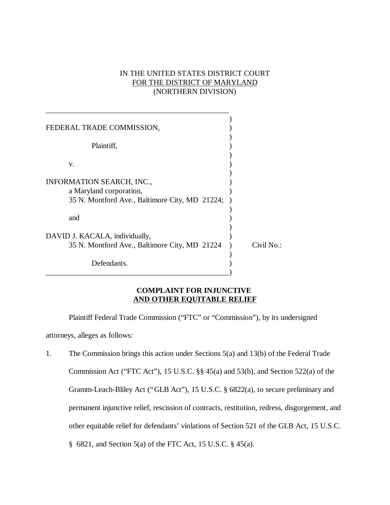# IN THE UNITED STATES DISTRICT COURT FOR THE DISTRICT OF MARYLAND (NORTHERN DIVISION)

| FEDERAL TRADE COMMISSION,                                                       |            |
|---------------------------------------------------------------------------------|------------|
| Plaintiff,                                                                      |            |
| V.                                                                              |            |
| INFORMATION SEARCH, INC.,                                                       |            |
| a Maryland corporation,<br>35 N. Montford Ave., Baltimore City, MD 21224;       |            |
|                                                                                 |            |
| and                                                                             |            |
| DAVID J. KACALA, individually,<br>35 N. Montford Ave., Baltimore City, MD 21224 | Civil No.: |
|                                                                                 |            |
| Defendants.                                                                     |            |

## **COMPLAINT FOR INJUNCTIVE AND OTHER EQUITABLE RELIEF**

Plaintiff Federal Trade Commission ("FTC" or "Commission"), by its undersigned attorneys, alleges as follows:

1. The Commission brings this action under Sections 5(a) and 13(b) of the Federal Trade Commission Act ("FTC Act"), 15 U.S.C. §§ 45(a) and 53(b), and Section 522(a) of the Gramm-Leach-Bliley Act ("GLB Act"), 15 U.S.C. § 6822(a), to secure preliminary and permanent injunctive relief, rescission of contracts, restitution, redress, disgorgement, and other equitable relief for defendants' violations of Section 521 of the GLB Act, 15 U.S.C. § 6821, and Section 5(a) of the FTC Act, 15 U.S.C. § 45(a).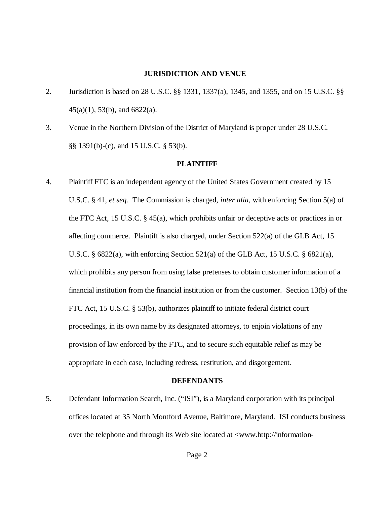#### **JURISDICTION AND VENUE**

- 2. Jurisdiction is based on 28 U.S.C. §§ 1331, 1337(a), 1345, and 1355, and on 15 U.S.C. §§ 45(a)(1), 53(b), and 6822(a).
- 3. Venue in the Northern Division of the District of Maryland is proper under 28 U.S.C. §§ 1391(b)-(c), and 15 U.S.C. § 53(b).

#### **PLAINTIFF**

4. Plaintiff FTC is an independent agency of the United States Government created by 15 U.S.C. § 41, *et seq.* The Commission is charged, *inter alia*, with enforcing Section 5(a) of the FTC Act, 15 U.S.C. § 45(a), which prohibits unfair or deceptive acts or practices in or affecting commerce. Plaintiff is also charged, under Section 522(a) of the GLB Act, 15 U.S.C.  $\S$  6822(a), with enforcing Section 521(a) of the GLB Act, 15 U.S.C.  $\S$  6821(a), which prohibits any person from using false pretenses to obtain customer information of a financial institution from the financial institution or from the customer. Section 13(b) of the FTC Act, 15 U.S.C. § 53(b), authorizes plaintiff to initiate federal district court proceedings, in its own name by its designated attorneys, to enjoin violations of any provision of law enforced by the FTC, and to secure such equitable relief as may be appropriate in each case, including redress, restitution, and disgorgement.

#### **DEFENDANTS**

5. Defendant Information Search, Inc. ("ISI"), is a Maryland corporation with its principal offices located at 35 North Montford Avenue, Baltimore, Maryland. ISI conducts business over the telephone and through its Web site located at <www.http://information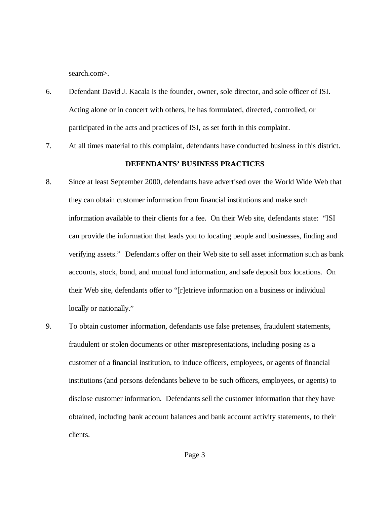search.com>.

- 6. Defendant David J. Kacala is the founder, owner, sole director, and sole officer of ISI. Acting alone or in concert with others, he has formulated, directed, controlled, or participated in the acts and practices of ISI, as set forth in this complaint.
- 7. At all times material to this complaint, defendants have conducted business in this district.

### **DEFENDANTS' BUSINESS PRACTICES**

- 8. Since at least September 2000, defendants have advertised over the World Wide Web that they can obtain customer information from financial institutions and make such information available to their clients for a fee. On their Web site, defendants state: "ISI can provide the information that leads you to locating people and businesses, finding and verifying assets." Defendants offer on their Web site to sell asset information such as bank accounts, stock, bond, and mutual fund information, and safe deposit box locations. On their Web site, defendants offer to "[r]etrieve information on a business or individual locally or nationally."
- 9. To obtain customer information, defendants use false pretenses, fraudulent statements, fraudulent or stolen documents or other misrepresentations, including posing as a customer of a financial institution, to induce officers, employees, or agents of financial institutions (and persons defendants believe to be such officers, employees, or agents) to disclose customer information. Defendants sell the customer information that they have obtained, including bank account balances and bank account activity statements, to their clients.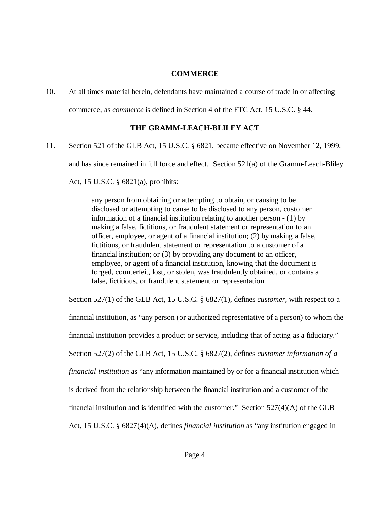## **COMMERCE**

10. At all times material herein, defendants have maintained a course of trade in or affecting commerce, as *commerce* is defined in Section 4 of the FTC Act, 15 U.S.C. § 44.

# **THE GRAMM-LEACH-BLILEY ACT**

11. Section 521 of the GLB Act, 15 U.S.C. § 6821, became effective on November 12, 1999, and has since remained in full force and effect. Section 521(a) of the Gramm-Leach-Bliley

Act, 15 U.S.C. § 6821(a), prohibits:

any person from obtaining or attempting to obtain, or causing to be disclosed or attempting to cause to be disclosed to any person, customer information of a financial institution relating to another person - (1) by making a false, fictitious, or fraudulent statement or representation to an officer, employee, or agent of a financial institution; (2) by making a false, fictitious, or fraudulent statement or representation to a customer of a financial institution; or (3) by providing any document to an officer, employee, or agent of a financial institution, knowing that the document is forged, counterfeit, lost, or stolen, was fraudulently obtained, or contains a false, fictitious, or fraudulent statement or representation.

Section 527(1) of the GLB Act, 15 U.S.C. § 6827(1), defines *customer,* with respect to a financial institution, as "any person (or authorized representative of a person) to whom the financial institution provides a product or service, including that of acting as a fiduciary." Section 527(2) of the GLB Act, 15 U.S.C. § 6827(2), defines *customer information of a financial institution* as "any information maintained by or for a financial institution which is derived from the relationship between the financial institution and a customer of the financial institution and is identified with the customer." Section 527(4)(A) of the GLB Act, 15 U.S.C. § 6827(4)(A), defines *financial institution* as "any institution engaged in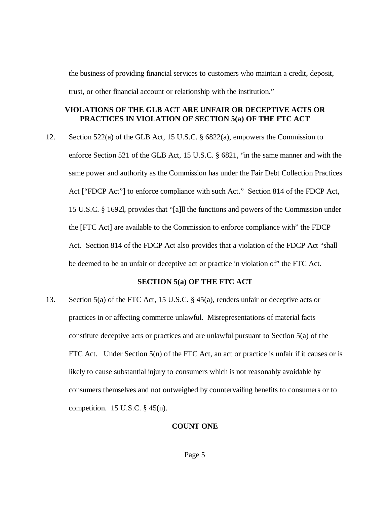the business of providing financial services to customers who maintain a credit, deposit, trust, or other financial account or relationship with the institution."

## **VIOLATIONS OF THE GLB ACT ARE UNFAIR OR DECEPTIVE ACTS OR PRACTICES IN VIOLATION OF SECTION 5(a) OF THE FTC ACT**

12. Section 522(a) of the GLB Act, 15 U.S.C. § 6822(a), empowers the Commission to enforce Section 521 of the GLB Act, 15 U.S.C. § 6821, "in the same manner and with the same power and authority as the Commission has under the Fair Debt Collection Practices Act ["FDCP Act"] to enforce compliance with such Act." Section 814 of the FDCP Act, 15 U.S.C. § 1692l, provides that "[a]ll the functions and powers of the Commission under the [FTC Act] are available to the Commission to enforce compliance with" the FDCP Act. Section 814 of the FDCP Act also provides that a violation of the FDCP Act "shall be deemed to be an unfair or deceptive act or practice in violation of" the FTC Act.

#### **SECTION 5(a) OF THE FTC ACT**

13. Section 5(a) of the FTC Act, 15 U.S.C. § 45(a), renders unfair or deceptive acts or practices in or affecting commerce unlawful. Misrepresentations of material facts constitute deceptive acts or practices and are unlawful pursuant to Section 5(a) of the FTC Act. Under Section 5(n) of the FTC Act, an act or practice is unfair if it causes or is likely to cause substantial injury to consumers which is not reasonably avoidable by consumers themselves and not outweighed by countervailing benefits to consumers or to competition.  $15$  U.S.C.  $\S$  45(n).

### **COUNT ONE**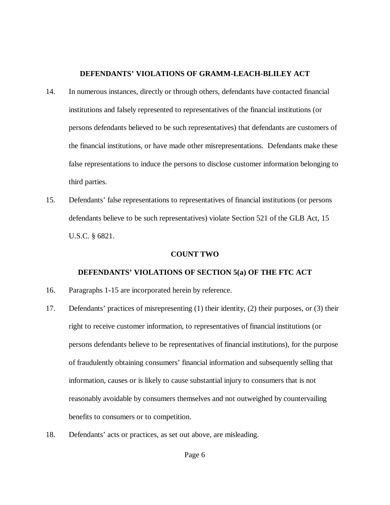## **DEFENDANTS' VIOLATIONS OF GRAMM-LEACH-BLILEY ACT**

- 14. In numerous instances, directly or through others, defendants have contacted financial institutions and falsely represented to representatives of the financial institutions (or persons defendants believed to be such representatives) that defendants are customers of the financial institutions, or have made other misrepresentations. Defendants make these false representations to induce the persons to disclose customer information belonging to third parties.
- 15. Defendants' false representations to representatives of financial institutions (or persons defendants believe to be such representatives) violate Section 521 of the GLB Act, 15 U.S.C. § 6821.

### **COUNT TWO**

## **DEFENDANTS' VIOLATIONS OF SECTION 5(a) OF THE FTC ACT**

- 16. Paragraphs 1-15 are incorporated herein by reference.
- 17. Defendants' practices of misrepresenting (1) their identity, (2) their purposes, or (3) their right to receive customer information, to representatives of financial institutions (or persons defendants believe to be representatives of financial institutions), for the purpose of fraudulently obtaining consumers' financial information and subsequently selling that information, causes or is likely to cause substantial injury to consumers that is not reasonably avoidable by consumers themselves and not outweighed by countervailing benefits to consumers or to competition.
- 18. Defendants' acts or practices, as set out above, are misleading.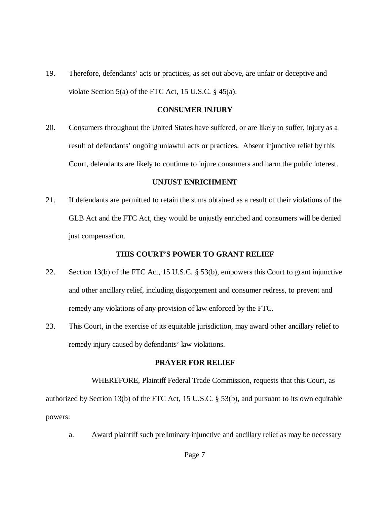19. Therefore, defendants' acts or practices, as set out above, are unfair or deceptive and violate Section 5(a) of the FTC Act, 15 U.S.C. § 45(a).

#### **CONSUMER INJURY**

20. Consumers throughout the United States have suffered, or are likely to suffer, injury as a result of defendants' ongoing unlawful acts or practices. Absent injunctive relief by this Court, defendants are likely to continue to injure consumers and harm the public interest.

### **UNJUST ENRICHMENT**

21. If defendants are permitted to retain the sums obtained as a result of their violations of the GLB Act and the FTC Act, they would be unjustly enriched and consumers will be denied just compensation.

### **THIS COURT'S POWER TO GRANT RELIEF**

- 22. Section 13(b) of the FTC Act, 15 U.S.C. § 53(b), empowers this Court to grant injunctive and other ancillary relief, including disgorgement and consumer redress, to prevent and remedy any violations of any provision of law enforced by the FTC.
- 23. This Court, in the exercise of its equitable jurisdiction, may award other ancillary relief to remedy injury caused by defendants' law violations.

## **PRAYER FOR RELIEF**

WHEREFORE, Plaintiff Federal Trade Commission, requests that this Court, as authorized by Section 13(b) of the FTC Act, 15 U.S.C. § 53(b), and pursuant to its own equitable powers:

a. Award plaintiff such preliminary injunctive and ancillary relief as may be necessary